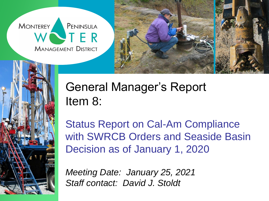**MONTEREY** PENINSULA VTER **MANAGEMENT DISTRICT** 





## General Manager's Report Item 8:

Status Report on Cal-Am Compliance with SWRCB Orders and Seaside Basin Decision as of January 1, 2020

*Meeting Date: January 25, 2021 Staff contact: David J. Stoldt*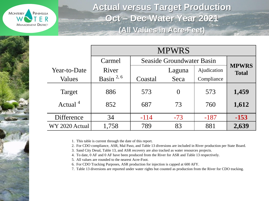

**Actual versus Target Production Oct – Dec Water Year 2021 (All Values in Acre-Feet)**

|                     | <b>MPWRS</b>   |                           |          |             |                              |  |
|---------------------|----------------|---------------------------|----------|-------------|------------------------------|--|
|                     | Carmel         | Seaside Groundwater Basin |          |             |                              |  |
| Year-to-Date        | River          |                           | Laguna   | Ajudication | <b>MPWRS</b><br><b>Total</b> |  |
| Values              | Basin $^{2,6}$ | Coastal                   | Seca     | Compliance  |                              |  |
| Target              | 886            | 573                       | $\Omega$ | 573         | 1,459                        |  |
| Actual <sup>4</sup> | 852            | 687                       | 73       | 760         | 1,612                        |  |
| Difference          | 34             | $-114$                    | $-73$    | $-187$      | $-153$                       |  |
| WY 2020 Actual      | 1,758          | 789                       | 83       | 881         | 2,639                        |  |

1. This table is current through the date of this report.

2. For CDO compliance, ASR, Mal Paso, and Table 13 diversions are included in River production per State Board.

3. Sand City Desal, Table 13, and ASR recovery are also tracked as water resources projects.

4. To date, 0 AF and 0 AF have been produced from the River for ASR and Table 13 respectively.

5. All values are rounded to the nearest Acre-Foot.

6. For CDO Tracking Purposes, ASR production for injection is capped at 600 AFY.

7. Table 13 diversions are reported under water rights but counted as production from the River for CDO tracking.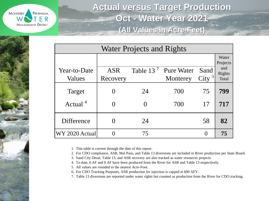

**Actual versus Target Production Oct - Water Year 2021 (All Values in Acre-Feet)**

| <b>Water Projects and Rights</b> |                        |             |                               |                  |                                             |  |
|----------------------------------|------------------------|-------------|-------------------------------|------------------|---------------------------------------------|--|
| Year-to-Date<br>Values           | <b>ASR</b><br>Recovery | Table $137$ | <b>Pure Water</b><br>Monterey | Sand<br>City $3$ | Water<br>Projects<br>and<br>Rights<br>Total |  |
| Target                           |                        | 24          | 700                           | 75               | 799                                         |  |
| Actual <sup>4</sup>              |                        | 0           | 700                           | 17               | 717                                         |  |
| Difference                       |                        | 24          |                               | 58               | 82                                          |  |
| WY 2020 Actual                   |                        | 75          |                               | $\Omega$         | 75                                          |  |

1. This table is current through the date of this report.

2. For CDO compliance, ASR, Mal Paso, and Table 13 diversions are included in River production per State Board.

3. Sand City Desal, Table 13, and ASR recovery are also tracked as water resources projects.

4. To date, 0 AF and 0 AF have been produced from the River for ASR and Table 13 respectively.

5. All values are rounded to the nearest Acre-Foot.

6. For CDO Tracking Purposes, ASR production for injection is capped at 600 AFY.

7. Table 13 diversions are reported under water rights but counted as production from the River for CDO tracking.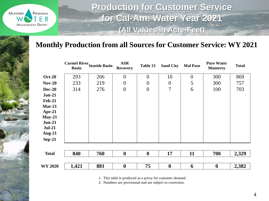

**Production for Customer Service for Cal-Am: Water Year 2021 (All Values in Acre-Feet)**

## **Monthly Production from all Sources for Customer Service: WY 2021**

|                      | <b>Basin</b> | <b>Carmel River</b> Seaside Basin | <b>ASR</b><br><b>Recovery</b> | Table 13         | <b>Sand City</b> | <b>Mal Paso</b> | <b>Pure Water</b><br><b>Monterey</b> | <b>Total</b> |
|----------------------|--------------|-----------------------------------|-------------------------------|------------------|------------------|-----------------|--------------------------------------|--------------|
| <b>Oct-20</b>        | 293          | 266                               | $\theta$                      | $\overline{0}$   | 10               | $\overline{0}$  | 300                                  | 869          |
| $Nov-20$             | 233          | 219                               | $\boldsymbol{0}$              | $\boldsymbol{0}$ | $\boldsymbol{0}$ | 5               | 300                                  | 757          |
| <b>Dec-20</b>        | 314          | 276                               | $\boldsymbol{0}$              | $\boldsymbol{0}$ | $\overline{7}$   | 6               | 100                                  | 703          |
| $Jan-21$             |              |                                   |                               |                  |                  |                 |                                      |              |
| <b>Feb-21</b>        |              |                                   |                               |                  |                  |                 |                                      |              |
| $Mar-21$             |              |                                   |                               |                  |                  |                 |                                      |              |
| $Apr-21$             |              |                                   |                               |                  |                  |                 |                                      |              |
| $May-21$<br>$Jun-21$ |              |                                   |                               |                  |                  |                 |                                      |              |
| $Jul-21$             |              |                                   |                               |                  |                  |                 |                                      |              |
| <b>Aug-21</b>        |              |                                   |                               |                  |                  |                 |                                      |              |
| <b>Sep-21</b>        |              |                                   |                               |                  |                  |                 |                                      |              |
|                      |              |                                   |                               |                  |                  |                 |                                      |              |
| <b>Total</b>         | 840          | 760                               | $\boldsymbol{0}$              | $\boldsymbol{0}$ | 17               | 11              | 700                                  | 2,329        |
| <b>WY 2020</b>       | 1,421        | 881                               | $\boldsymbol{0}$              | 75               | $\boldsymbol{0}$ | 6               | $\boldsymbol{0}$                     | 2,382        |
|                      |              |                                   |                               |                  |                  |                 |                                      |              |

1. This table is produced as a proxy for customer demand.

2. Numbers are provisional and are subject to correction.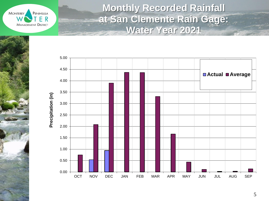**MONTEREY** PENINSULA ER **MANAGEMENT DISTRICT** 

**Monthly Recorded Rainfall at San Clemente Rain Gage: Water Year 2021**

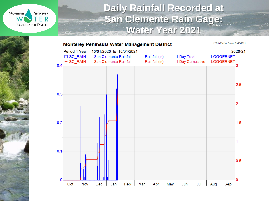

## **Daily Rainfall Recorded at San Clemente Rain Gage: Water Year 2021**